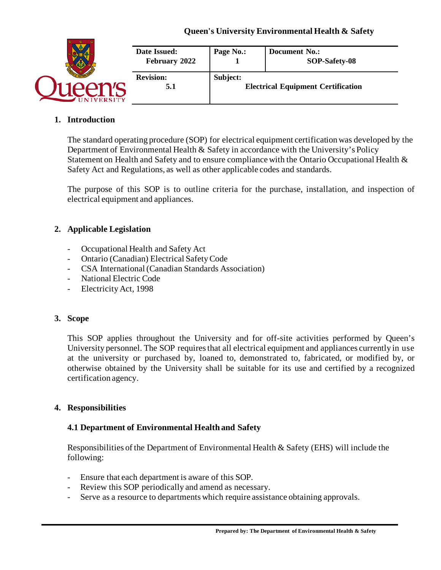

### **1. Introduction**

The standard operating procedure (SOP) for electrical equipment certification was developed by the Department of Environmental Health & Safety in accordance with the University's Policy Statement on Health and Safety and to ensure compliance with the Ontario Occupational Health  $\&$ Safety Act and Regulations, as well as other applicable codes and standards.

The purpose of this SOP is to outline criteria for the purchase, installation, and inspection of electrical equipment and appliances.

### **2. Applicable Legislation**

- Occupational Health and Safety Act
- Ontario (Canadian) Electrical Safety Code
- CSA International (Canadian Standards Association)
- National Electric Code
- Electricity Act, 1998

#### **3. Scope**

This SOP applies throughout the University and for off-site activities performed by Queen's University personnel. The SOP requires that all electrical equipment and appliances currently in use at the university or purchased by, loaned to, demonstrated to, fabricated, or modified by, or otherwise obtained by the University shall be suitable for its use and certified by a recognized certification agency.

#### **4. Responsibilities**

#### **4.1 Department of Environmental Health and Safety**

Responsibilities of the Department of Environmental Health & Safety (EHS) will include the following:

- Ensure that each department is aware of this SOP.
- Review this SOP periodically and amend as necessary.
- Serve as a resource to departments which require assistance obtaining approvals.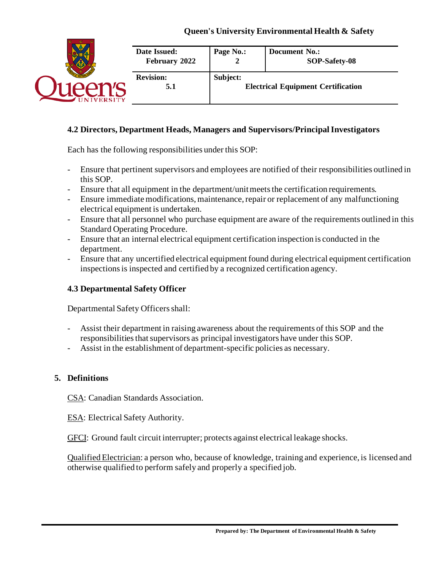

### **4.2 Directors, Department Heads, Managers and Supervisors/Principal Investigators**

Each has the following responsibilities under this SOP:

- Ensure that pertinent supervisors and employees are notified of their responsibilities outlined in this SOP.
- Ensure that all equipment in the department/unit meets the certification requirements.
- Ensure immediate modifications, maintenance, repair or replacement of any malfunctioning electrical equipment is undertaken.
- Ensure that all personnel who purchase equipment are aware of the requirements outlined in this Standard Operating Procedure.
- Ensure that an internal electrical equipment certification inspection is conducted in the department.
- Ensure that any uncertified electrical equipment found during electrical equipment certification inspections is inspected and certified by a recognized certification agency.

## **4.3 Departmental Safety Officer**

Departmental Safety Officers shall:

- Assist their department in raising awareness about the requirements of this SOP and the responsibilities that supervisors as principal investigators have under this SOP.
- Assist in the establishment of department-specific policies as necessary.

## **5. Definitions**

CSA: Canadian Standards Association.

ESA: Electrical Safety Authority.

GFCI: Ground fault circuit interrupter; protects against electrical leakage shocks.

Qualified Electrician: a person who, because of knowledge, training and experience, is licensed and otherwise qualified to perform safely and properly a specified job.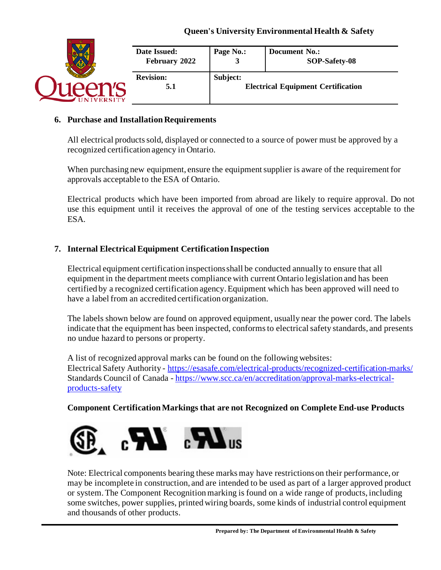

#### **6. Purchase and Installation Requirements**

All electrical products sold, displayed or connected to a source of power must be approved by a recognized certification agency in Ontario.

When purchasing new equipment, ensure the equipment supplier is aware of the requirement for approvals acceptable to the ESA of Ontario.

Electrical products which have been imported from abroad are likely to require approval. Do not use this equipment until it receives the approval of one of the testing services acceptable to the ESA.

## **7. Internal Electrical Equipment Certification Inspection**

Electrical equipment certification inspectionsshall be conducted annually to ensure that all equipment in the department meets compliance with current Ontario legislation and has been certified by a recognized certification agency. Equipment which has been approved will need to have a label from an accredited certification organization.

The labels shown below are found on approved equipment, usually near the power cord. The labels indicate that the equipment has been inspected, conforms to electrical safety standards, and presents no undue hazard to persons or property.

A list of recognized approval marks can be found on the following websites: Electrical Safety Authority - <https://esasafe.com/electrical-products/recognized-certification-marks/> Standards Council of Canada - [https://www.scc.ca/en/accreditation/approval-marks-electrical](https://www.scc.ca/en/accreditation/approval-marks-electrical-products-safety)[products-safety](https://www.scc.ca/en/accreditation/approval-marks-electrical-products-safety)

**Component Certification Markings that are not Recognized on Complete End-use Products**



Note: Electrical components bearing these marks may have restrictions on their performance, or may be incomplete in construction, and are intended to be used as part of a larger approved product or system. The Component Recognition marking is found on a wide range of products, including some switches, power supplies, printed wiring boards, some kinds of industrial control equipment and thousands of other products.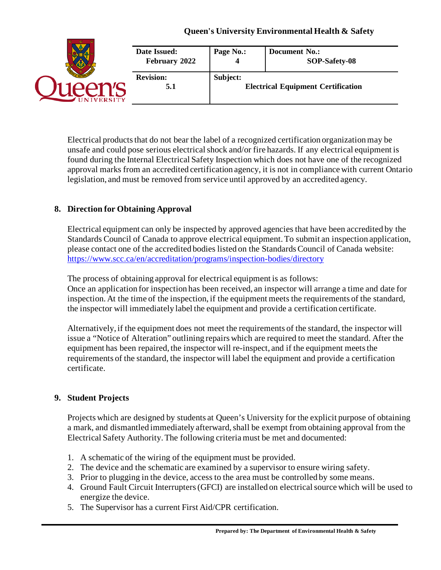| <b>VERSITY</b> | Date Issued:<br>February 2022 | Page No.:                                             | <b>Document No.:</b><br>SOP-Safety-08 |
|----------------|-------------------------------|-------------------------------------------------------|---------------------------------------|
|                | <b>Revision:</b><br>5.1       | Subject:<br><b>Electrical Equipment Certification</b> |                                       |

Electrical products that do not bear the label of a recognized certification organizationmay be unsafe and could pose serious electrical shock and/or fire hazards. If any electrical equipment is found during the Internal Electrical Safety Inspection which does not have one of the recognized approval marks from an accredited certification agency, it is not in compliance with current Ontario legislation, and must be removed from service until approved by an accredited agency.

# **8. Direction for Obtaining Approval**

Electrical equipment can only be inspected by approved agencies that have been accredited by the Standards Council of Canada to approve electrical equipment. To submit an inspection application, please contact one of the accredited bodies listed on the Standards Council of Canada website: <https://www.scc.ca/en/accreditation/programs/inspection-bodies/directory>

The process of obtaining approval for electrical equipment is as follows: Once an application for inspection has been received, an inspector will arrange a time and date for inspection. At the time of the inspection, if the equipment meets the requirements of the standard, the inspector will immediately label the equipment and provide a certification certificate.

Alternatively, if the equipment does not meet the requirements of the standard, the inspector will issue a "Notice of Alteration" outlining repairs which are required to meet the standard. After the equipment has been repaired, the inspector will re-inspect, and if the equipment meets the requirements of the standard, the inspector will label the equipment and provide a certification certificate.

## **9. Student Projects**

Projects which are designed by students at Queen's University for the explicit purpose of obtaining a mark, and dismantled immediately afterward, shall be exempt from obtaining approval from the Electrical Safety Authority. The following criteria must be met and documented:

- 1. A schematic of the wiring of the equipment must be provided.
- 2. The device and the schematic are examined by a supervisor to ensure wiring safety.
- 3. Prior to plugging in the device, access to the area must be controlled by some means.
- 4. Ground Fault Circuit Interrupters (GFCI) are installed on electrical source which will be used to energize the device.
- 5. The Supervisor has a current First Aid/CPR certification.